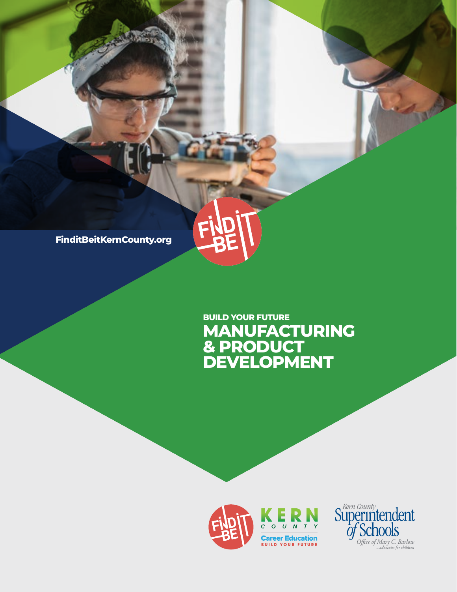**FinditBeitKernCounty.org**

# **MANUFACTURING & PRODUCT DEVELOPMENT BUILD YOUR FUTURE**